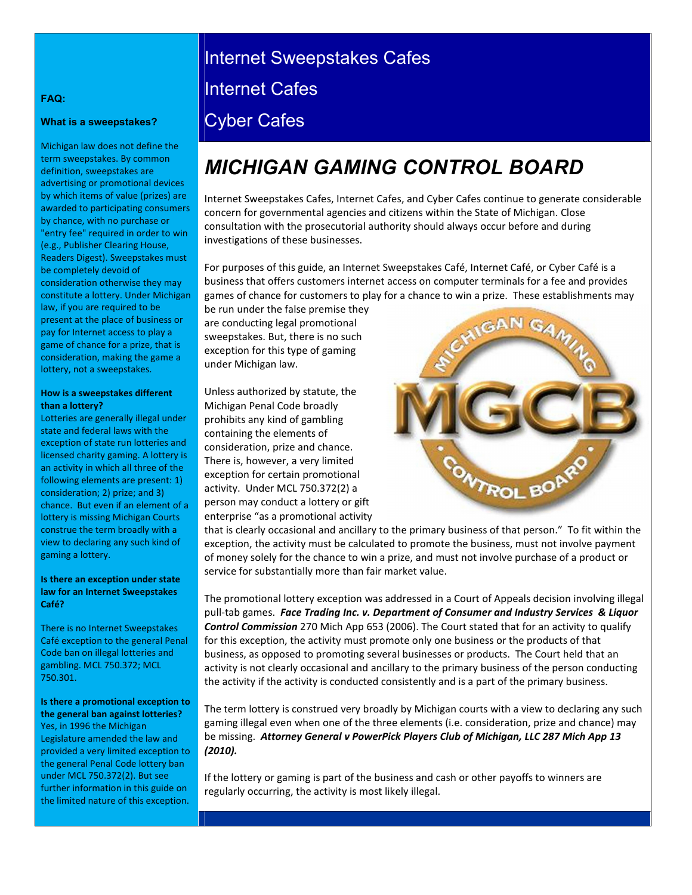## Internet Sweepstakes Cafes

Internet Cafes

### Cyber Cafes

## *MICHIGAN GAMING CONTROL BOARD*

Internet Sweepstakes Cafes, Internet Cafes, and Cyber Cafes continue to generate considerable concern for governmental agencies and citizens within the State of Michigan. Close consultation with the prosecutorial authority should always occur before and during investigations of these businesses.

For purposes of this guide, an Internet Sweepstakes Café, Internet Café, or Cyber Café is a business that offers customers internet access on computer terminals for a fee and provides games of chance for customers to play for a chance to win a prize. These establishments may

be run under the false premise they are conducting legal promotional sweepstakes. But, there is no such exception for this type of gaming under Michigan law.

Unless authorized by statute, the Michigan Penal Code broadly prohibits any kind of gambling containing the elements of consideration, prize and chance. There is, however, a very limited exception for certain promotional activity. Under MCL 750.372(2) a person may conduct a lottery or gift enterprise "as a promotional activity



that is clearly occasional and ancillary to the primary business of that person." To fit within the exception, the activity must be calculated to promote the business, must not involve payment of money solely for the chance to win a prize, and must not involve purchase of a product or service for substantially more than fair market value.

The promotional lottery exception was addressed in a Court of Appeals decision involving illegal pull-tab games. *Face Trading Inc. v. Department of Consumer and Industry Services & Liquor Control Commission* 270 Mich App 653 (2006). The Court stated that for an activity to qualify for this exception, the activity must promote only one business or the products of that business, as opposed to promoting several businesses or products. The Court held that an activity is not clearly occasional and ancillary to the primary business of the person conducting the activity if the activity is conducted consistently and is a part of the primary business.

The term lottery is construed very broadly by Michigan courts with a view to declaring any such gaming illegal even when one of the three elements (i.e. consideration, prize and chance) may be missing. *Attorney General v PowerPick Players Club of Michigan, LLC 287 Mich App 13 (2010).* 

If the lottery or gaming is part of the business and cash or other payoffs to winners are regularly occurring, the activity is most likely illegal.

#### **FAQ:**

#### **What is a sweepstakes?**

Michigan law does not define the term sweepstakes. By common definition, sweepstakes are advertising or promotional devices by which items of value (prizes) are awarded to participating consumers by chance, with no purchase or "entry fee" required in order to win (e.g., Publisher Clearing House, Readers Digest). Sweepstakes must be completely devoid of consideration otherwise they may constitute a lottery. Under Michigan law, if you are required to be present at the place of business or pay for Internet access to play a game of chance for a prize, that is consideration, making the game a lottery, not a sweepstakes.

#### **How is a sweepstakes different than a lottery?**

Lotteries are generally illegal under state and federal laws with the exception of state run lotteries and licensed charity gaming. A lottery is an activity in which all three of the following elements are present: 1) consideration; 2) prize; and 3) chance. But even if an element of a lottery is missing Michigan Courts construe the term broadly with a view to declaring any such kind of gaming a lottery.

#### **Is there an exception under state law for an Internet Sweepstakes Café?**

There is no Internet Sweepstakes Café exception to the general Penal Code ban on illegal lotteries and gambling. MCL 750.372; MCL 750.301.

**Is there a promotional exception to the general ban against lotteries?**  Yes, in 1996 the Michigan Legislature amended the law and provided a very limited exception to the general Penal Code lottery ban under MCL 750.372(2). But see further information in this guide on the limited nature of this exception.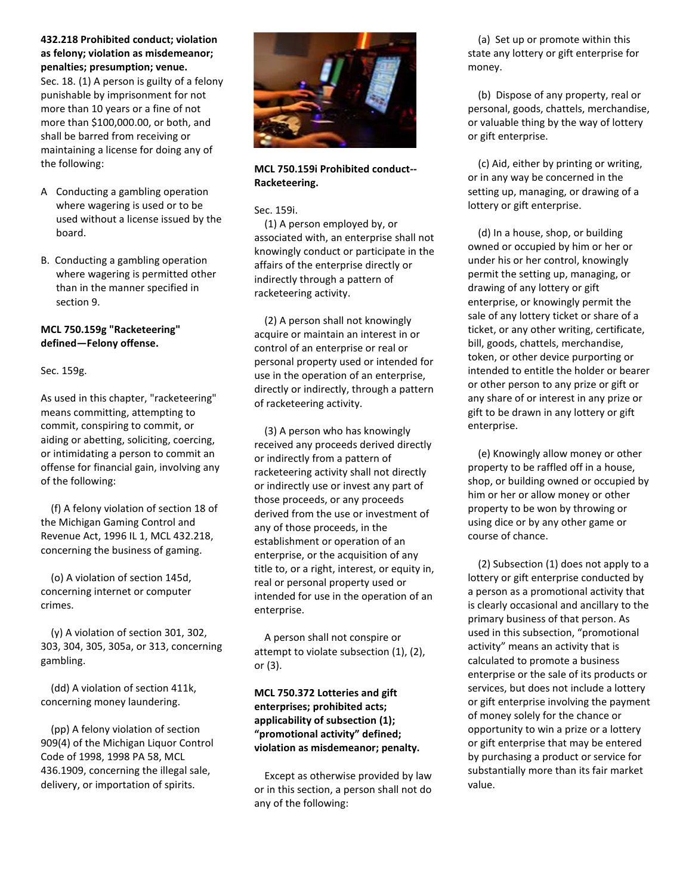**432.218 Prohibited conduct; violation as felony; violation as misdemeanor; penalties; presumption; venue.** 

Sec. 18. (1) A person is guilty of a felony punishable by imprisonment for not more than 10 years or a fine of not more than \$100,000.00, or both, and shall be barred from receiving or maintaining a license for doing any of the following:

- A Conducting a gambling operation where wagering is used or to be used without a license issued by the board.
- B. Conducting a gambling operation where wagering is permitted other than in the manner specified in section 9.

#### **MCL 750.159g "Racketeering" defined—Felony offense.**

#### Sec. 159g.

As used in this chapter, "racketeering" means committing, attempting to commit, conspiring to commit, or aiding or abetting, soliciting, coercing, or intimidating a person to commit an offense for financial gain, involving any of the following:

 (f) A felony violation of section 18 of the Michigan Gaming Control and Revenue Act, 1996 IL 1, MCL 432.218, concerning the business of gaming.

 (o) A violation of section 145d, concerning internet or computer crimes.

 (y) A violation of section 301, 302, 303, 304, 305, 305a, or 313, concerning gambling.

 (dd) A violation of section 411k, concerning money laundering.

 (pp) A felony violation of section 909(4) of the Michigan Liquor Control Code of 1998, 1998 PA 58, MCL 436.1909, concerning the illegal sale, delivery, or importation of spirits.



#### **MCL 750.159i Prohibited conduct-- Racketeering.**

Sec. 159i.

 (1) A person employed by, or associated with, an enterprise shall not knowingly conduct or participate in the affairs of the enterprise directly or indirectly through a pattern of racketeering activity.

 (2) A person shall not knowingly acquire or maintain an interest in or control of an enterprise or real or personal property used or intended for use in the operation of an enterprise, directly or indirectly, through a pattern of racketeering activity.

 (3) A person who has knowingly received any proceeds derived directly or indirectly from a pattern of racketeering activity shall not directly or indirectly use or invest any part of those proceeds, or any proceeds derived from the use or investment of any of those proceeds, in the establishment or operation of an enterprise, or the acquisition of any title to, or a right, interest, or equity in, real or personal property used or intended for use in the operation of an enterprise.

 A person shall not conspire or attempt to violate subsection (1), (2), or (3).

#### **MCL 750.372 Lotteries and gift enterprises; prohibited acts; applicability of subsection (1); "promotional activity" defined; violation as misdemeanor; penalty.**

 Except as otherwise provided by law or in this section, a person shall not do any of the following:

 (a) Set up or promote within this state any lottery or gift enterprise for money.

 (b) Dispose of any property, real or personal, goods, chattels, merchandise, or valuable thing by the way of lottery or gift enterprise.

 (c) Aid, either by printing or writing, or in any way be concerned in the setting up, managing, or drawing of a lottery or gift enterprise.

 (d) In a house, shop, or building owned or occupied by him or her or under his or her control, knowingly permit the setting up, managing, or drawing of any lottery or gift enterprise, or knowingly permit the sale of any lottery ticket or share of a ticket, or any other writing, certificate, bill, goods, chattels, merchandise, token, or other device purporting or intended to entitle the holder or bearer or other person to any prize or gift or any share of or interest in any prize or gift to be drawn in any lottery or gift enterprise.

 (e) Knowingly allow money or other property to be raffled off in a house, shop, or building owned or occupied by him or her or allow money or other property to be won by throwing or using dice or by any other game or course of chance.

 (2) Subsection (1) does not apply to a lottery or gift enterprise conducted by a person as a promotional activity that is clearly occasional and ancillary to the primary business of that person. As used in this subsection, "promotional activity" means an activity that is calculated to promote a business enterprise or the sale of its products or services, but does not include a lottery or gift enterprise involving the payment of money solely for the chance or opportunity to win a prize or a lottery or gift enterprise that may be entered by purchasing a product or service for substantially more than its fair market value.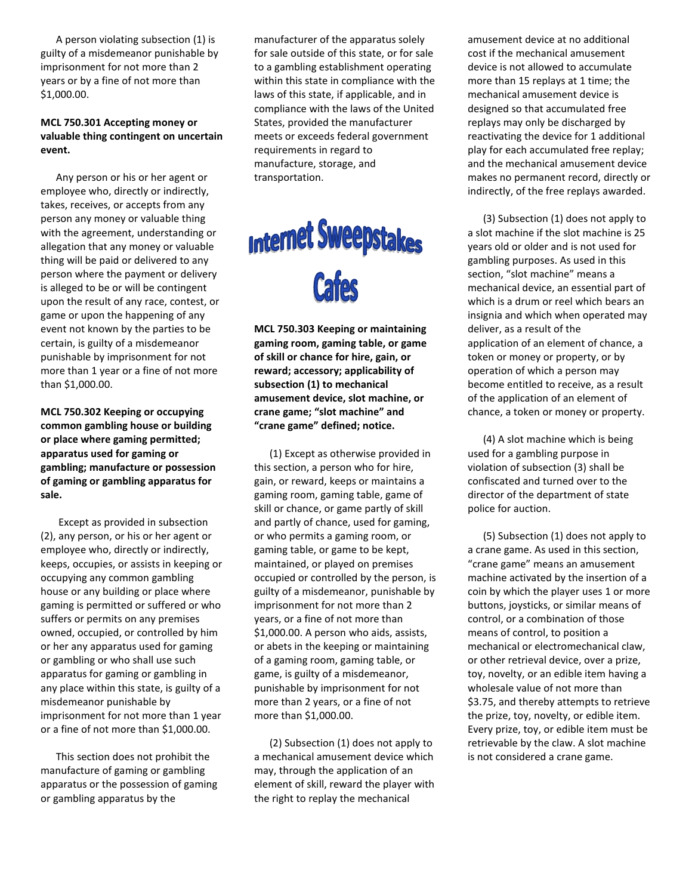A person violating subsection (1) is guilty of a misdemeanor punishable by imprisonment for not more than 2 years or by a fine of not more than \$1,000.00.

#### **MCL 750.301 Accepting money or valuable thing contingent on uncertain event.**

 Any person or his or her agent or employee who, directly or indirectly, takes, receives, or accepts from any person any money or valuable thing with the agreement, understanding or allegation that any money or valuable thing will be paid or delivered to any person where the payment or delivery is alleged to be or will be contingent upon the result of any race, contest, or game or upon the happening of any event not known by the parties to be certain, is guilty of a misdemeanor punishable by imprisonment for not more than 1 year or a fine of not more than \$1,000.00.

**MCL 750.302 Keeping or occupying common gambling house or building or place where gaming permitted; apparatus used for gaming or gambling; manufacture or possession of gaming or gambling apparatus for sale.** 

 Except as provided in subsection (2), any person, or his or her agent or employee who, directly or indirectly, keeps, occupies, or assists in keeping or occupying any common gambling house or any building or place where gaming is permitted or suffered or who suffers or permits on any premises owned, occupied, or controlled by him or her any apparatus used for gaming or gambling or who shall use such apparatus for gaming or gambling in any place within this state, is guilty of a misdemeanor punishable by imprisonment for not more than 1 year or a fine of not more than \$1,000.00.

 This section does not prohibit the manufacture of gaming or gambling apparatus or the possession of gaming or gambling apparatus by the

manufacturer of the apparatus solely for sale outside of this state, or for sale to a gambling establishment operating within this state in compliance with the laws of this state, if applicable, and in compliance with the laws of the United States, provided the manufacturer meets or exceeds federal government requirements in regard to manufacture, storage, and transportation.

# **Internet Sweepstakes**

**MCL 750.303 Keeping or maintaining gaming room, gaming table, or game of skill or chance for hire, gain, or reward; accessory; applicability of subsection (1) to mechanical amusement device, slot machine, or crane game; "slot machine" and "crane game" defined; notice.** 

 (1) Except as otherwise provided in this section, a person who for hire, gain, or reward, keeps or maintains a gaming room, gaming table, game of skill or chance, or game partly of skill and partly of chance, used for gaming, or who permits a gaming room, or gaming table, or game to be kept, maintained, or played on premises occupied or controlled by the person, is guilty of a misdemeanor, punishable by imprisonment for not more than 2 years, or a fine of not more than \$1,000.00. A person who aids, assists, or abets in the keeping or maintaining of a gaming room, gaming table, or game, is guilty of a misdemeanor, punishable by imprisonment for not more than 2 years, or a fine of not more than \$1,000.00.

 (2) Subsection (1) does not apply to a mechanical amusement device which may, through the application of an element of skill, reward the player with the right to replay the mechanical

amusement device at no additional cost if the mechanical amusement device is not allowed to accumulate more than 15 replays at 1 time; the mechanical amusement device is designed so that accumulated free replays may only be discharged by reactivating the device for 1 additional play for each accumulated free replay; and the mechanical amusement device makes no permanent record, directly or indirectly, of the free replays awarded.

 (3) Subsection (1) does not apply to a slot machine if the slot machine is 25 years old or older and is not used for gambling purposes. As used in this section, "slot machine" means a mechanical device, an essential part of which is a drum or reel which bears an insignia and which when operated may deliver, as a result of the application of an element of chance, a token or money or property, or by operation of which a person may become entitled to receive, as a result of the application of an element of chance, a token or money or property.

 (4) A slot machine which is being used for a gambling purpose in violation of subsection (3) shall be confiscated and turned over to the director of the department of state police for auction.

 (5) Subsection (1) does not apply to a crane game. As used in this section, "crane game" means an amusement machine activated by the insertion of a coin by which the player uses 1 or more buttons, joysticks, or similar means of control, or a combination of those means of control, to position a mechanical or electromechanical claw, or other retrieval device, over a prize, toy, novelty, or an edible item having a wholesale value of not more than \$3.75, and thereby attempts to retrieve the prize, toy, novelty, or edible item. Every prize, toy, or edible item must be retrievable by the claw. A slot machine is not considered a crane game.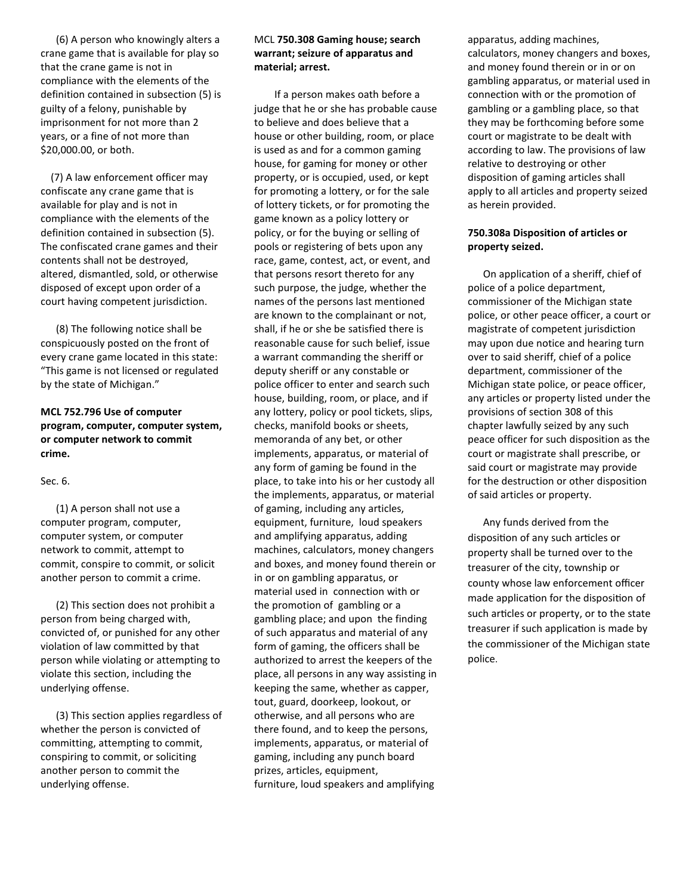(6) A person who knowingly alters a crane game that is available for play so that the crane game is not in compliance with the elements of the definition contained in subsection (5) is guilty of a felony, punishable by imprisonment for not more than 2 years, or a fine of not more than \$20,000.00, or both.

 (7) A law enforcement officer may confiscate any crane game that is available for play and is not in compliance with the elements of the definition contained in subsection (5). The confiscated crane games and their contents shall not be destroyed, altered, dismantled, sold, or otherwise disposed of except upon order of a court having competent jurisdiction.

 (8) The following notice shall be conspicuously posted on the front of every crane game located in this state: "This game is not licensed or regulated by the state of Michigan."

#### **MCL 752.796 Use of computer program, computer, computer system, or computer network to commit crime.**

#### Sec. 6.

 (1) A person shall not use a computer program, computer, computer system, or computer network to commit, attempt to commit, conspire to commit, or solicit another person to commit a crime.

 (2) This section does not prohibit a person from being charged with, convicted of, or punished for any other violation of law committed by that person while violating or attempting to violate this section, including the underlying offense.

 (3) This section applies regardless of whether the person is convicted of committing, attempting to commit, conspiring to commit, or soliciting another person to commit the underlying offense.

#### MCL **750.308 Gaming house; search warrant; seizure of apparatus and material; arrest.**

 If a person makes oath before a judge that he or she has probable cause to believe and does believe that a house or other building, room, or place is used as and for a common gaming house, for gaming for money or other property, or is occupied, used, or kept for promoting a lottery, or for the sale of lottery tickets, or for promoting the game known as a policy lottery or policy, or for the buying or selling of pools or registering of bets upon any race, game, contest, act, or event, and that persons resort thereto for any such purpose, the judge, whether the names of the persons last mentioned are known to the complainant or not, shall, if he or she be satisfied there is reasonable cause for such belief, issue a warrant commanding the sheriff or deputy sheriff or any constable or police officer to enter and search such house, building, room, or place, and if any lottery, policy or pool tickets, slips, checks, manifold books or sheets, memoranda of any bet, or other implements, apparatus, or material of any form of gaming be found in the place, to take into his or her custody all the implements, apparatus, or material of gaming, including any articles, equipment, furniture, loud speakers and amplifying apparatus, adding machines, calculators, money changers and boxes, and money found therein or in or on gambling apparatus, or material used in connection with or the promotion of gambling or a gambling place; and upon the finding of such apparatus and material of any form of gaming, the officers shall be authorized to arrest the keepers of the place, all persons in any way assisting in keeping the same, whether as capper, tout, guard, doorkeep, lookout, or otherwise, and all persons who are there found, and to keep the persons, implements, apparatus, or material of gaming, including any punch board prizes, articles, equipment, furniture, loud speakers and amplifying

apparatus, adding machines, calculators, money changers and boxes, and money found therein or in or on gambling apparatus, or material used in connection with or the promotion of gambling or a gambling place, so that they may be forthcoming before some court or magistrate to be dealt with according to law. The provisions of law relative to destroying or other disposition of gaming articles shall apply to all articles and property seized as herein provided.

#### **750.308a Disposition of articles or property seized.**

 On application of a sheriff, chief of police of a police department, commissioner of the Michigan state police, or other peace officer, a court or magistrate of competent jurisdiction may upon due notice and hearing turn over to said sheriff, chief of a police department, commissioner of the Michigan state police, or peace officer, any articles or property listed under the provisions of section 308 of this chapter lawfully seized by any such peace officer for such disposition as the court or magistrate shall prescribe, or said court or magistrate may provide for the destruction or other disposition of said articles or property.

 Any funds derived from the disposition of any such articles or property shall be turned over to the treasurer of the city, township or county whose law enforcement officer made application for the disposition of such articles or property, or to the state treasurer if such application is made by the commissioner of the Michigan state police.